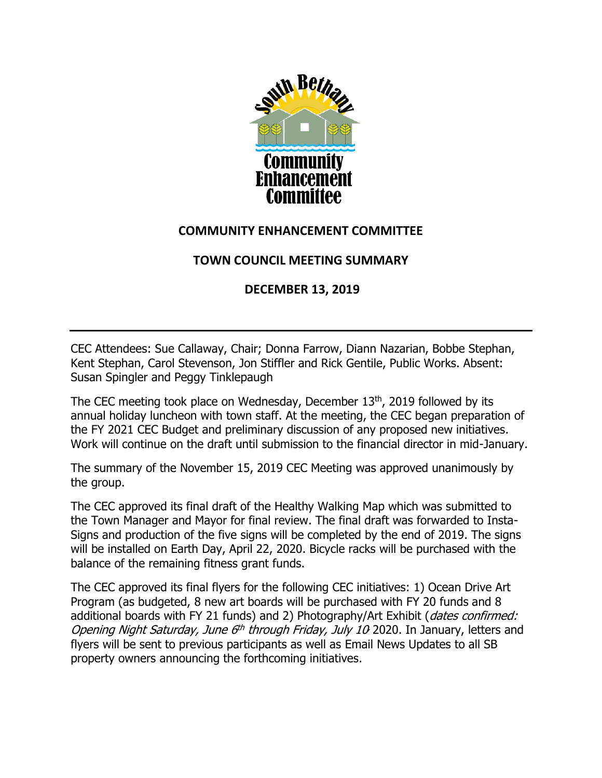

### **COMMUNITY ENHANCEMENT COMMITTEE**

# **TOWN COUNCIL MEETING SUMMARY**

## **DECEMBER 13, 2019**

CEC Attendees: Sue Callaway, Chair; Donna Farrow, Diann Nazarian, Bobbe Stephan, Kent Stephan, Carol Stevenson, Jon Stiffler and Rick Gentile, Public Works. Absent: Susan Spingler and Peggy Tinklepaugh

The CEC meeting took place on Wednesday, December 13<sup>th</sup>, 2019 followed by its annual holiday luncheon with town staff. At the meeting, the CEC began preparation of the FY 2021 CEC Budget and preliminary discussion of any proposed new initiatives. Work will continue on the draft until submission to the financial director in mid-January.

The summary of the November 15, 2019 CEC Meeting was approved unanimously by the group.

The CEC approved its final draft of the Healthy Walking Map which was submitted to the Town Manager and Mayor for final review. The final draft was forwarded to Insta-Signs and production of the five signs will be completed by the end of 2019. The signs will be installed on Earth Day, April 22, 2020. Bicycle racks will be purchased with the balance of the remaining fitness grant funds.

The CEC approved its final flyers for the following CEC initiatives: 1) Ocean Drive Art Program (as budgeted, 8 new art boards will be purchased with FY 20 funds and 8 additional boards with FY 21 funds) and 2) Photography/Art Exhibit (dates confirmed: Opening Night Saturday, June 6<sup>th</sup> through Friday, July 10 2020. In January, letters and flyers will be sent to previous participants as well as Email News Updates to all SB property owners announcing the forthcoming initiatives.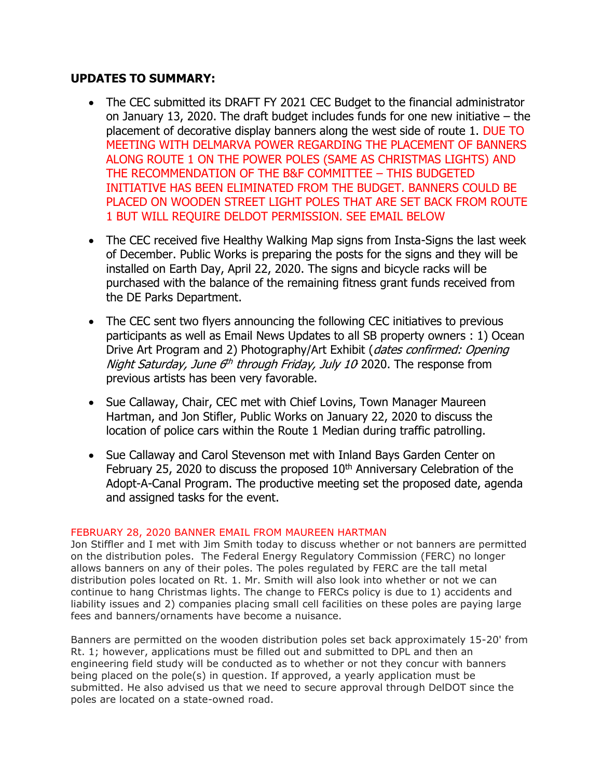#### **UPDATES TO SUMMARY:**

- The CEC submitted its DRAFT FY 2021 CEC Budget to the financial administrator on January 13, 2020. The draft budget includes funds for one new initiative – the placement of decorative display banners along the west side of route 1. DUE TO MEETING WITH DELMARVA POWER REGARDING THE PLACEMENT OF BANNERS ALONG ROUTE 1 ON THE POWER POLES (SAME AS CHRISTMAS LIGHTS) AND THE RECOMMENDATION OF THE B&F COMMITTEE – THIS BUDGETED INITIATIVE HAS BEEN ELIMINATED FROM THE BUDGET. BANNERS COULD BE PLACED ON WOODEN STREET LIGHT POLES THAT ARE SET BACK FROM ROUTE 1 BUT WILL REQUIRE DELDOT PERMISSION. SEE EMAIL BELOW
- The CEC received five Healthy Walking Map signs from Insta-Signs the last week of December. Public Works is preparing the posts for the signs and they will be installed on Earth Day, April 22, 2020. The signs and bicycle racks will be purchased with the balance of the remaining fitness grant funds received from the DE Parks Department.
- The CEC sent two flyers announcing the following CEC initiatives to previous participants as well as Email News Updates to all SB property owners : 1) Ocean Drive Art Program and 2) Photography/Art Exhibit (*dates confirmed: Opening* Night Saturday, June 6<sup>th</sup> through Friday, July 10 2020. The response from previous artists has been very favorable.
- Sue Callaway, Chair, CEC met with Chief Lovins, Town Manager Maureen Hartman, and Jon Stifler, Public Works on January 22, 2020 to discuss the location of police cars within the Route 1 Median during traffic patrolling.
- Sue Callaway and Carol Stevenson met with Inland Bays Garden Center on February 25, 2020 to discuss the proposed  $10<sup>th</sup>$  Anniversary Celebration of the Adopt-A-Canal Program. The productive meeting set the proposed date, agenda and assigned tasks for the event.

#### FEBRUARY 28, 2020 BANNER EMAIL FROM MAUREEN HARTMAN

Jon Stiffler and I met with Jim Smith today to discuss whether or not banners are permitted on the distribution poles. The Federal Energy Regulatory Commission (FERC) no longer allows banners on any of their poles. The poles regulated by FERC are the tall metal distribution poles located on Rt. 1. Mr. Smith will also look into whether or not we can continue to hang Christmas lights. The change to FERCs policy is due to 1) accidents and liability issues and 2) companies placing small cell facilities on these poles are paying large fees and banners/ornaments have become a nuisance.

Banners are permitted on the wooden distribution poles set back approximately 15-20' from Rt. 1; however, applications must be filled out and submitted to DPL and then an engineering field study will be conducted as to whether or not they concur with banners being placed on the pole(s) in question. If approved, a yearly application must be submitted. He also advised us that we need to secure approval through DelDOT since the poles are located on a state-owned road.